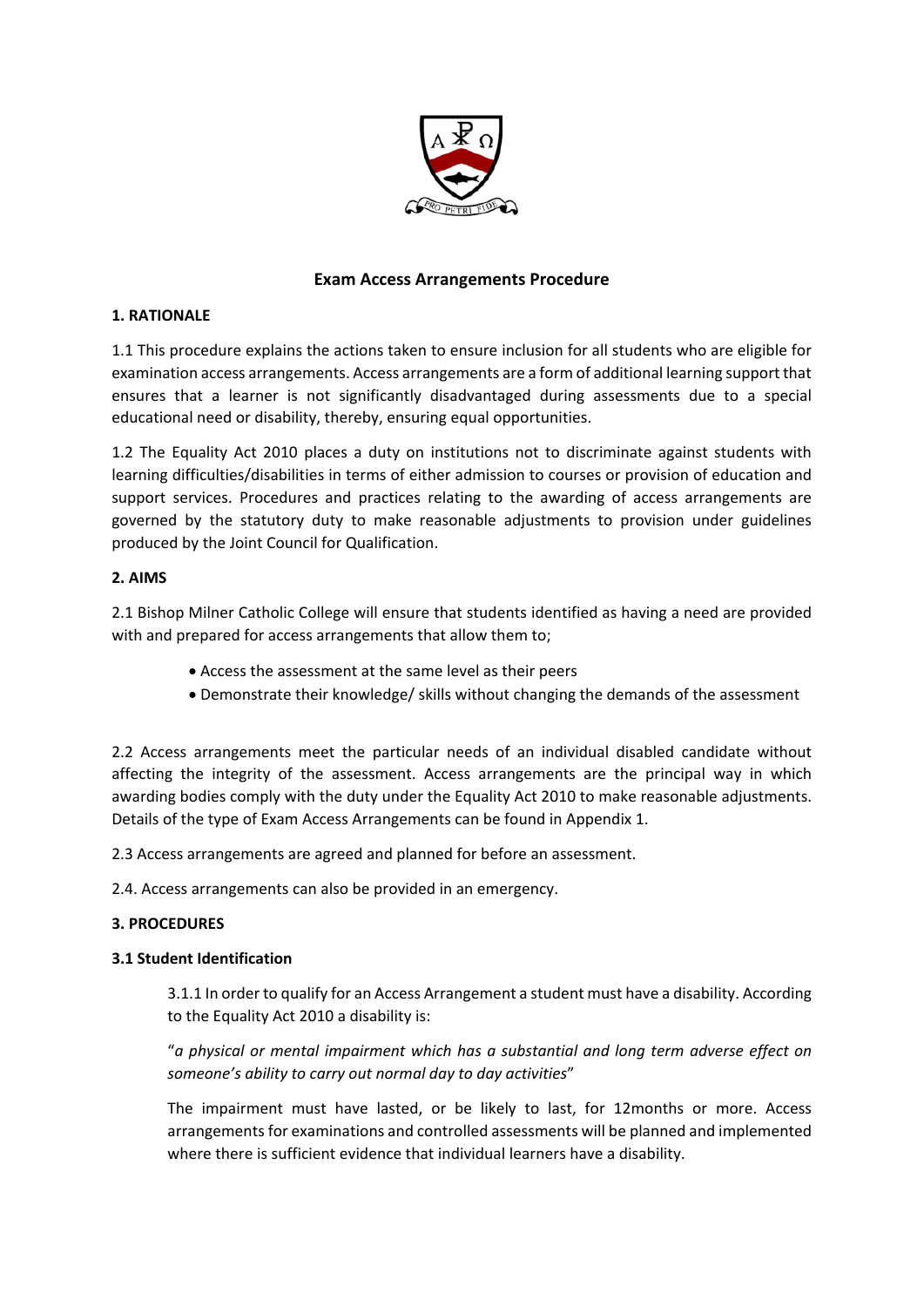

## **Exam Access Arrangements Procedure**

## **1. RATIONALE**

1.1 This procedure explains the actions taken to ensure inclusion for all students who are eligible for examination access arrangements. Access arrangements are a form of additional learning support that ensures that a learner is not significantly disadvantaged during assessments due to a special educational need or disability, thereby, ensuring equal opportunities.

1.2 The Equality Act 2010 places a duty on institutions not to discriminate against students with learning difficulties/disabilities in terms of either admission to courses or provision of education and support services. Procedures and practices relating to the awarding of access arrangements are governed by the statutory duty to make reasonable adjustments to provision under guidelines produced by the Joint Council for Qualification.

## **2. AIMS**

2.1 Bishop Milner Catholic College will ensure that students identified as having a need are provided with and prepared for access arrangements that allow them to;

- Access the assessment at the same level as their peers
- Demonstrate their knowledge/ skills without changing the demands of the assessment

2.2 Access arrangements meet the particular needs of an individual disabled candidate without affecting the integrity of the assessment. Access arrangements are the principal way in which awarding bodies comply with the duty under the Equality Act 2010 to make reasonable adjustments. Details of the type of Exam Access Arrangements can be found in Appendix 1.

2.3 Access arrangements are agreed and planned for before an assessment.

2.4. Access arrangements can also be provided in an emergency.

### **3. PROCEDURES**

### **3.1 Student Identification**

3.1.1 In order to qualify for an Access Arrangement a student must have a disability. According to the Equality Act 2010 a disability is:

"*a physical or mental impairment which has a substantial and long term adverse effect on someone's ability to carry out normal day to day activities*"

The impairment must have lasted, or be likely to last, for 12months or more. Access arrangements for examinations and controlled assessments will be planned and implemented where there is sufficient evidence that individual learners have a disability.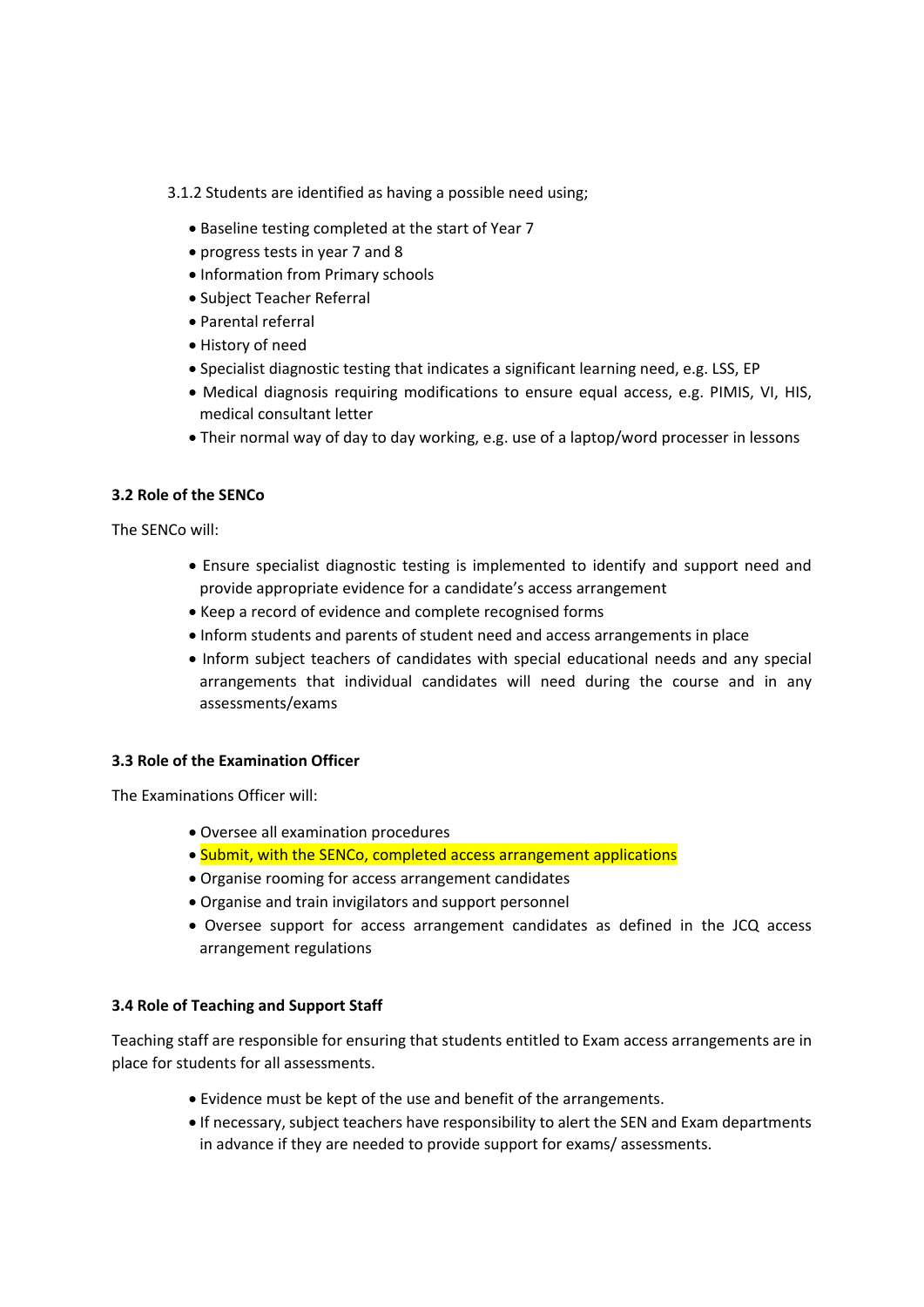3.1.2 Students are identified as having a possible need using;

- Baseline testing completed at the start of Year 7
- progress tests in year 7 and 8
- Information from Primary schools
- Subject Teacher Referral
- Parental referral
- History of need
- Specialist diagnostic testing that indicates a significant learning need, e.g. LSS, EP
- Medical diagnosis requiring modifications to ensure equal access, e.g. PIMIS, VI, HIS, medical consultant letter
- Their normal way of day to day working, e.g. use of a laptop/word processer in lessons

## **3.2 Role of the SENCo**

The SENCo will:

- Ensure specialist diagnostic testing is implemented to identify and support need and provide appropriate evidence for a candidate's access arrangement
- Keep a record of evidence and complete recognised forms
- Inform students and parents of student need and access arrangements in place
- Inform subject teachers of candidates with special educational needs and any special arrangements that individual candidates will need during the course and in any assessments/exams

### **3.3 Role of the Examination Officer**

The Examinations Officer will:

- Oversee all examination procedures
- Submit, with the SENCo, completed access arrangement applications
- Organise rooming for access arrangement candidates
- Organise and train invigilators and support personnel
- Oversee support for access arrangement candidates as defined in the JCQ access arrangement regulations

### **3.4 Role of Teaching and Support Staff**

Teaching staff are responsible for ensuring that students entitled to Exam access arrangements are in place for students for all assessments.

- Evidence must be kept of the use and benefit of the arrangements.
- If necessary, subject teachers have responsibility to alert the SEN and Exam departments in advance if they are needed to provide support for exams/ assessments.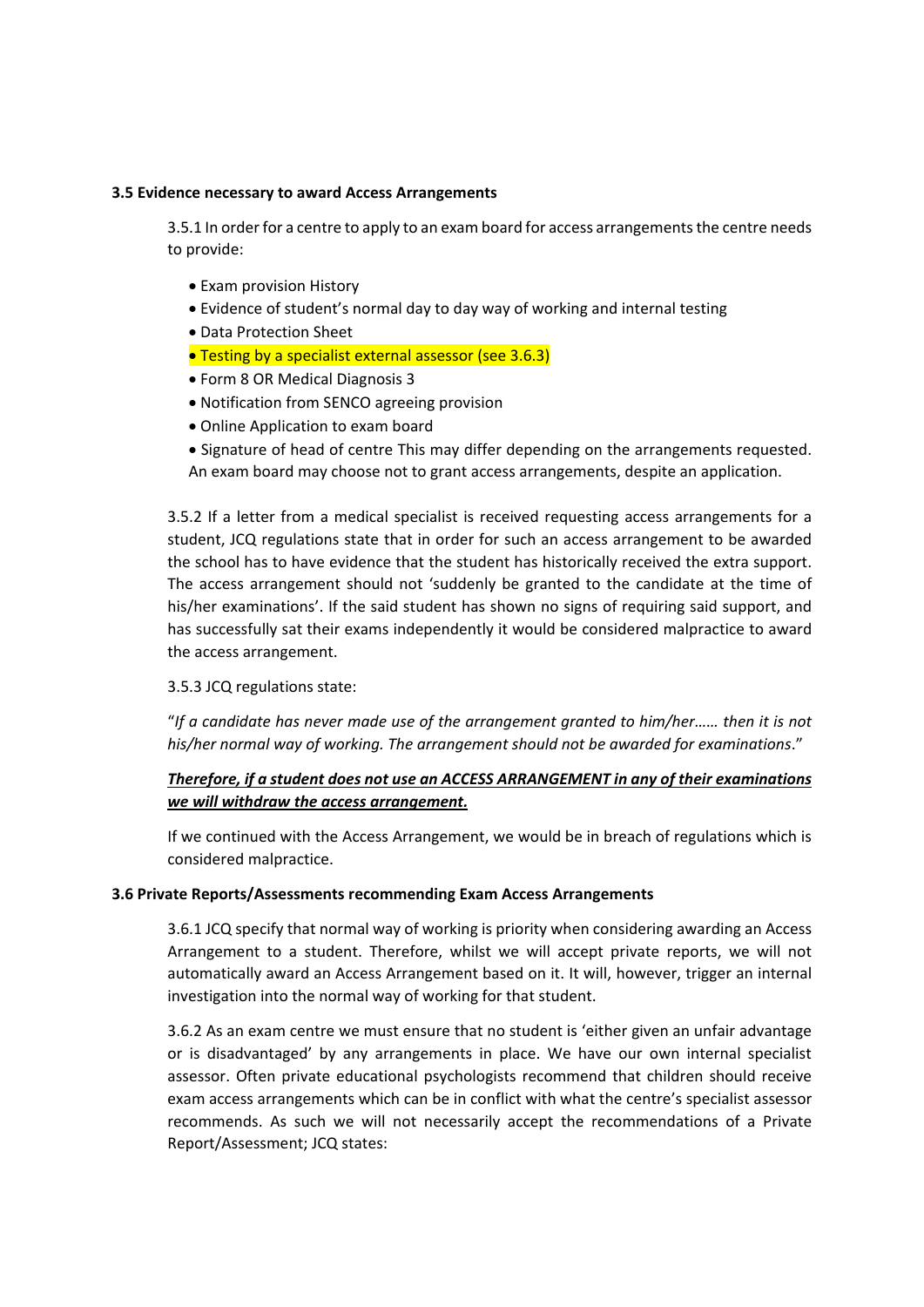#### **3.5 Evidence necessary to award Access Arrangements**

3.5.1 In order for a centre to apply to an exam board for access arrangements the centre needs to provide:

- Exam provision History
- Evidence of student's normal day to day way of working and internal testing
- Data Protection Sheet
- **Testing by a specialist external assessor (see 3.6.3)**
- Form 8 OR Medical Diagnosis 3
- Notification from SENCO agreeing provision
- Online Application to exam board
- Signature of head of centre This may differ depending on the arrangements requested. An exam board may choose not to grant access arrangements, despite an application.

3.5.2 If a letter from a medical specialist is received requesting access arrangements for a student, JCQ regulations state that in order for such an access arrangement to be awarded the school has to have evidence that the student has historically received the extra support. The access arrangement should not 'suddenly be granted to the candidate at the time of his/her examinations'. If the said student has shown no signs of requiring said support, and has successfully sat their exams independently it would be considered malpractice to award the access arrangement.

### 3.5.3 JCQ regulations state:

"*If a candidate has never made use of the arrangement granted to him/her…… then it is not his/her normal way of working. The arrangement should not be awarded for examinations*."

# *Therefore, if a student does not use an ACCESS ARRANGEMENT in any of their examinations we will withdraw the access arrangement.*

If we continued with the Access Arrangement, we would be in breach of regulations which is considered malpractice.

### **3.6 Private Reports/Assessments recommending Exam Access Arrangements**

3.6.1 JCQ specify that normal way of working is priority when considering awarding an Access Arrangement to a student. Therefore, whilst we will accept private reports, we will not automatically award an Access Arrangement based on it. It will, however, trigger an internal investigation into the normal way of working for that student.

3.6.2 As an exam centre we must ensure that no student is 'either given an unfair advantage or is disadvantaged' by any arrangements in place. We have our own internal specialist assessor. Often private educational psychologists recommend that children should receive exam access arrangements which can be in conflict with what the centre's specialist assessor recommends. As such we will not necessarily accept the recommendations of a Private Report/Assessment; JCQ states: